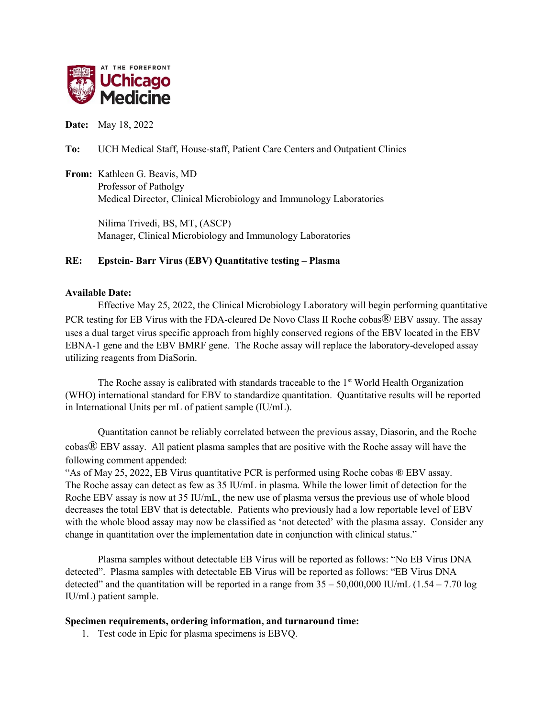

**Date:** May 18, 2022

**To:** UCH Medical Staff, House-staff, Patient Care Centers and Outpatient Clinics

**From:** Kathleen G. Beavis, MD Professor of Patholgy Medical Director, Clinical Microbiology and Immunology Laboratories

> Nilima Trivedi, BS, MT, (ASCP) Manager, Clinical Microbiology and Immunology Laboratories

## **RE: Epstein- Barr Virus (EBV) Quantitative testing – Plasma**

## **Available Date:**

Effective May 25, 2022, the Clinical Microbiology Laboratory will begin performing quantitative PCR testing for EB Virus with the FDA-cleared De Novo Class II Roche cobas<sup>®</sup> EBV assay. The assay uses a dual target virus specific approach from highly conserved regions of the EBV located in the EBV EBNA-1 gene and the EBV BMRF gene. The Roche assay will replace the laboratory-developed assay utilizing reagents from DiaSorin.

The Roche assay is calibrated with standards traceable to the  $1<sup>st</sup>$  World Health Organization (WHO) international standard for EBV to standardize quantitation. Quantitative results will be reported in International Units per mL of patient sample (IU/mL).

Quantitation cannot be reliably correlated between the previous assay, Diasorin, and the Roche cobas® EBV assay. All patient plasma samples that are positive with the Roche assay will have the following comment appended:

"As of May 25, 2022, EB Virus quantitative PCR is performed using Roche cobas ® EBV assay. The Roche assay can detect as few as 35 IU/mL in plasma. While the lower limit of detection for the Roche EBV assay is now at 35 IU/mL, the new use of plasma versus the previous use of whole blood decreases the total EBV that is detectable. Patients who previously had a low reportable level of EBV with the whole blood assay may now be classified as 'not detected' with the plasma assay. Consider any change in quantitation over the implementation date in conjunction with clinical status."

Plasma samples without detectable EB Virus will be reported as follows: "No EB Virus DNA detected". Plasma samples with detectable EB Virus will be reported as follows: "EB Virus DNA detected" and the quantitation will be reported in a range from  $35 - 50,000,000$  IU/mL  $(1.54 - 7.70 \log$ IU/mL) patient sample.

## **Specimen requirements, ordering information, and turnaround time:**

1. Test code in Epic for plasma specimens is EBVQ.